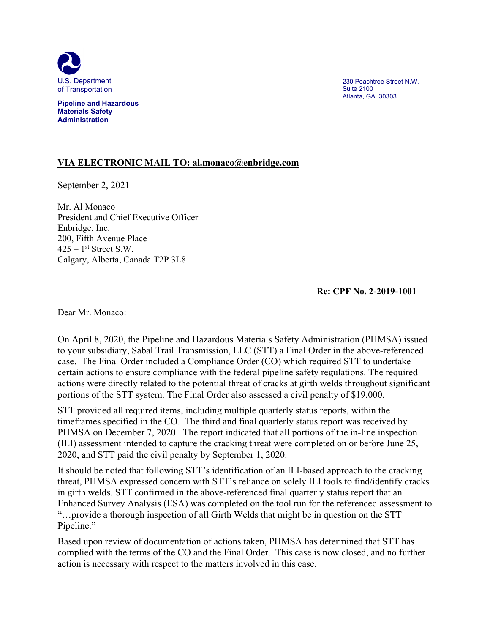

**Pipeline and Hazardous Materials Safety Administration**

230 Peachtree Street N.W. Suite 2100 Atlanta, GA 30303

## **VIA ELECTRONIC MAIL TO: al.monaco@enbridge.com**

September 2, 2021

Mr. Al Monaco President and Chief Executive Officer Enbridge, Inc. 200, Fifth Avenue Place  $425 - 1$ <sup>st</sup> Street S.W. Calgary, Alberta, Canada T2P 3L8

**Re: CPF No. 2-2019-1001** 

Dear Mr. Monaco:

On April 8, 2020, the Pipeline and Hazardous Materials Safety Administration (PHMSA) issued to your subsidiary, Sabal Trail Transmission, LLC (STT) a Final Order in the above-referenced case. The Final Order included a Compliance Order (CO) which required STT to undertake certain actions to ensure compliance with the federal pipeline safety regulations. The required actions were directly related to the potential threat of cracks at girth welds throughout significant portions of the STT system. The Final Order also assessed a civil penalty of \$19,000.

STT provided all required items, including multiple quarterly status reports, within the timeframes specified in the CO. The third and final quarterly status report was received by PHMSA on December 7, 2020. The report indicated that all portions of the in-line inspection (ILI) assessment intended to capture the cracking threat were completed on or before June 25, 2020, and STT paid the civil penalty by September 1, 2020.

It should be noted that following STT's identification of an ILI-based approach to the cracking threat, PHMSA expressed concern with STT's reliance on solely ILI tools to find/identify cracks in girth welds. STT confirmed in the above-referenced final quarterly status report that an Enhanced Survey Analysis (ESA) was completed on the tool run for the referenced assessment to "…provide a thorough inspection of all Girth Welds that might be in question on the STT Pipeline."

Based upon review of documentation of actions taken, PHMSA has determined that STT has complied with the terms of the CO and the Final Order. This case is now closed, and no further action is necessary with respect to the matters involved in this case.